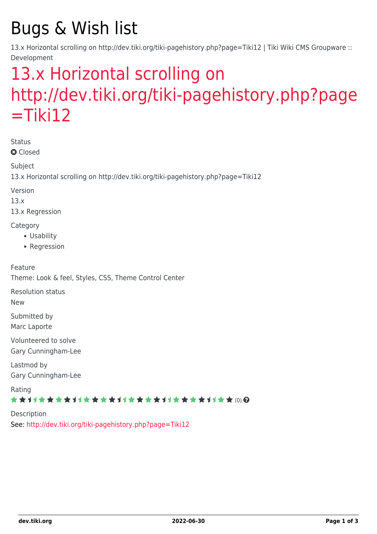# Bugs & Wish list

13.x Horizontal scrolling on http://dev.tiki.org/tiki-pagehistory.php?page=Tiki12 | Tiki Wiki CMS Groupware :: Development

## [13.x Horizontal scrolling on](https://dev.tiki.org/item5385-13-x-Horizontal-scrolling-on-http-dev-tiki-org-tiki-pagehistory-php-page-Tiki12) [http://dev.tiki.org/tiki-pagehistory.php?page](https://dev.tiki.org/item5385-13-x-Horizontal-scrolling-on-http-dev-tiki-org-tiki-pagehistory-php-page-Tiki12)  $=$ Tiki12

Status

**Q** Closed

Subject

13.x Horizontal scrolling on http://dev.tiki.org/tiki-pagehistory.php?page=Tiki12

Version

13.x

13.x Regression

**Category** 

- Usability
- Regression

Feature Theme: Look & feel, Styles, CSS, Theme Control Center

Resolution status

New

Submitted by Marc Laporte

Volunteered to solve Gary Cunningham-Lee

Lastmod by Gary Cunningham-Lee

Rating

#### ★★11★★★★11★★★★11★★★★11★★★★+11★★ (0) @

Description See:<http://dev.tiki.org/tiki-pagehistory.php?page=Tiki12>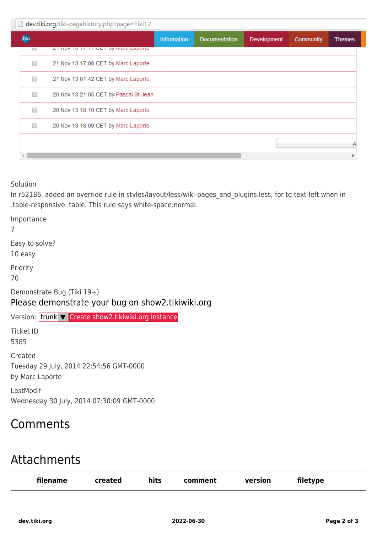| dev.tiki.org/tiki-pagehistory.php?page=Tiki12 |                                       |                    |               |             |           |               |  |  |  |  |
|-----------------------------------------------|---------------------------------------|--------------------|---------------|-------------|-----------|---------------|--|--|--|--|
|                                               |                                       | <b>Information</b> | Documentation | Development | Community | <b>Themes</b> |  |  |  |  |
| U                                             | ZT NOVITO TT. IT GET BY MIGHT LADORE  |                    |               |             |           |               |  |  |  |  |
|                                               | 21 Nov 13 17:08 CET by Marc Laporte   |                    |               |             |           |               |  |  |  |  |
| ▀                                             | 21 Nov 13 01:42 CET by Marc Laporte   |                    |               |             |           |               |  |  |  |  |
| ▅                                             | 20 Nov 13 21:05 CET by Pascal St-Jean |                    |               |             |           |               |  |  |  |  |
| ▅                                             | 20 Nov 13 18:10 CET by Marc Laporte   |                    |               |             |           |               |  |  |  |  |
|                                               | 20 Nov 13 18:09 CET by Marc Laporte   |                    |               |             |           |               |  |  |  |  |
|                                               |                                       |                    |               |             |           |               |  |  |  |  |
|                                               |                                       |                    |               |             |           |               |  |  |  |  |

Solution

In r52186, added an override rule in styles/layout/less/wiki-pages\_and\_plugins.less, for td.text-left when in .table-responsive .table. This rule says white-space:normal.

Importance 7 Easy to solve? 10 easy Priority 70 Demonstrate Bug (Tiki 19+) Please demonstrate your bug on show2.tikiwiki.org Version: trunk ▼ [Create show2.tikiwiki.org instance](#page--1-0) Ticket ID 5385 Created Tuesday 29 July, 2014 22:54:56 GMT-0000 by Marc Laporte LastModif Wednesday 30 July, 2014 07:30:09 GMT-0000

## Comments

### Attachments

| filename | created | hits | comment | version | filetype |
|----------|---------|------|---------|---------|----------|
|          |         |      |         |         |          |